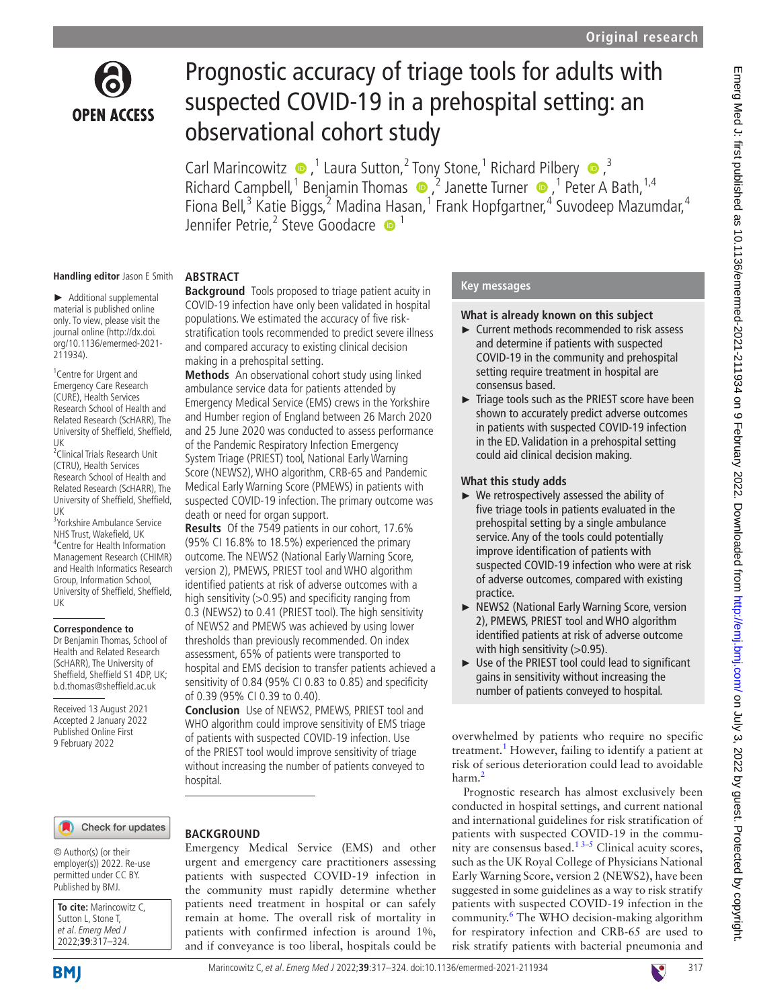

# Prognostic accuracy of triage tools for adults with suspected COVID-19 in a prehospital setting: an observational cohort study

Carl Marincowitz  $\bullet$ , <sup>1</sup> Laura Sutton, <sup>2</sup> Tony Stone, <sup>1</sup> Richard Pilbery  $\bullet$ , <sup>3</sup> RichardCampbell,<sup>1</sup> Benjamin Thomas  $\bullet$ ,<sup>2</sup> Janette Turner  $\bullet$ ,<sup>1</sup> Peter A Bath,<sup>1,4</sup> Fiona Bell,<sup>3</sup> Katie Biggs,<sup>2</sup> Madina [Ha](http://orcid.org/0000-0003-0803-8444)san,<sup>1</sup> Frank Hopfgartner,<sup>4</sup> Suvodeep Mazumdar,<sup>4</sup> Jennifer Petrie,<sup>2</sup> Steve Goodacre <sup>1</sup>

#### **Handling editor** Jason E Smith

► Additional supplemental material is published online only. To view, please visit the journal online ([http://dx.doi.](http://dx.doi.org/10.1136/emermed-2021-211934) [org/10.1136/emermed-2021-](http://dx.doi.org/10.1136/emermed-2021-211934) [211934](http://dx.doi.org/10.1136/emermed-2021-211934)).

1 Centre for Urgent and Emergency Care Research (CURE), Health Services Research School of Health and Related Research (ScHARR), The University of Sheffield, Sheffield, UK

2 Clinical Trials Research Unit (CTRU), Health Services Research School of Health and Related Research (ScHARR), The University of Sheffield, Sheffield, UK

3 Yorkshire Ambulance Service NHS Trust, Wakefield, UK 4 Centre for Health Information Management Research (CHIMR) and Health Informatics Research Group, Information School, University of Sheffield, Sheffield, UK

#### **Correspondence to**

Dr Benjamin Thomas, School of Health and Related Research (ScHARR), The University of Sheffield, Sheffield S1 4DP, UK; b.d.thomas@sheffield.ac.uk

Received 13 August 2021 Accepted 2 January 2022 Published Online First 9 February 2022

#### Check for updates

© Author(s) (or their employer(s)) 2022. Re-use permitted under CC BY. Published by BMJ.

| To cite: Marincowitz C, |
|-------------------------|
| Sutton L, Stone T,      |
| et al. Emerg Med J      |
| 2022;39:317-324.        |

# **ABSTRACT**

**Background** Tools proposed to triage patient acuity in COVID-19 infection have only been validated in hospital populations. We estimated the accuracy of five riskstratification tools recommended to predict severe illness and compared accuracy to existing clinical decision making in a prehospital setting.

**Methods** An observational cohort study using linked ambulance service data for patients attended by Emergency Medical Service (EMS) crews in the Yorkshire and Humber region of England between 26 March 2020 and 25 June 2020 was conducted to assess performance of the Pandemic Respiratory Infection Emergency System Triage (PRIEST) tool, National Early Warning Score (NEWS2), WHO algorithm, CRB-65 and Pandemic Medical Early Warning Score (PMEWS) in patients with suspected COVID-19 infection. The primary outcome was death or need for organ support.

**Results** Of the 7549 patients in our cohort, 17.6% (95% CI 16.8% to 18.5%) experienced the primary outcome. The NEWS2 (National Early Warning Score, version 2), PMEWS, PRIEST tool and WHO algorithm identified patients at risk of adverse outcomes with a high sensitivity (>0.95) and specificity ranging from 0.3 (NEWS2) to 0.41 (PRIEST tool). The high sensitivity of NEWS2 and PMEWS was achieved by using lower thresholds than previously recommended. On index assessment, 65% of patients were transported to hospital and EMS decision to transfer patients achieved a sensitivity of 0.84 (95% CI 0.83 to 0.85) and specificity of 0.39 (95% CI 0.39 to 0.40).

**Conclusion** Use of NEWS2, PMEWS, PRIEST tool and WHO algorithm could improve sensitivity of EMS triage of patients with suspected COVID-19 infection. Use of the PRIEST tool would improve sensitivity of triage without increasing the number of patients conveyed to hospital.

# **BACKGROUND**

Emergency Medical Service (EMS) and other urgent and emergency care practitioners assessing patients with suspected COVID-19 infection in the community must rapidly determine whether patients need treatment in hospital or can safely remain at home. The overall risk of mortality in patients with confirmed infection is around 1%, and if conveyance is too liberal, hospitals could be

#### **Key messages**

#### **What is already known on this subject**

- ► Current methods recommended to risk assess and determine if patients with suspected COVID-19 in the community and prehospital setting require treatment in hospital are consensus based.
- ► Triage tools such as the PRIEST score have been shown to accurately predict adverse outcomes in patients with suspected COVID-19 infection in the ED. Validation in a prehospital setting could aid clinical decision making.

#### **What this study adds**

- ► We retrospectively assessed the ability of five triage tools in patients evaluated in the prehospital setting by a single ambulance service. Any of the tools could potentially improve identification of patients with suspected COVID-19 infection who were at risk of adverse outcomes, compared with existing practice.
- ► NEWS2 (National Early Warning Score, version 2), PMEWS, PRIEST tool and WHO algorithm identified patients at risk of adverse outcome with high sensitivity (>0.95).
- ► Use of the PRIEST tool could lead to significant gains in sensitivity without increasing the number of patients conveyed to hospital.

overwhelmed by patients who require no specific treatment.<sup>[1](#page-6-0)</sup> However, failing to identify a patient at risk of serious deterioration could lead to avoidable harm.<sup>[2](#page-6-1)</sup>

Prognostic research has almost exclusively been conducted in hospital settings, and current national and international guidelines for risk stratification of patients with suspected COVID-19 in the community are consensus based. $1^{3-5}$  Clinical acuity scores, such as the UK Royal College of Physicians National Early Warning Score, version 2 (NEWS2), have been suggested in some guidelines as a way to risk stratify patients with suspected COVID-19 infection in the community.<sup>[6](#page-6-2)</sup> The WHO decision-making algorithm for respiratory infection and CRB-65 are used to risk stratify patients with bacterial pneumonia and

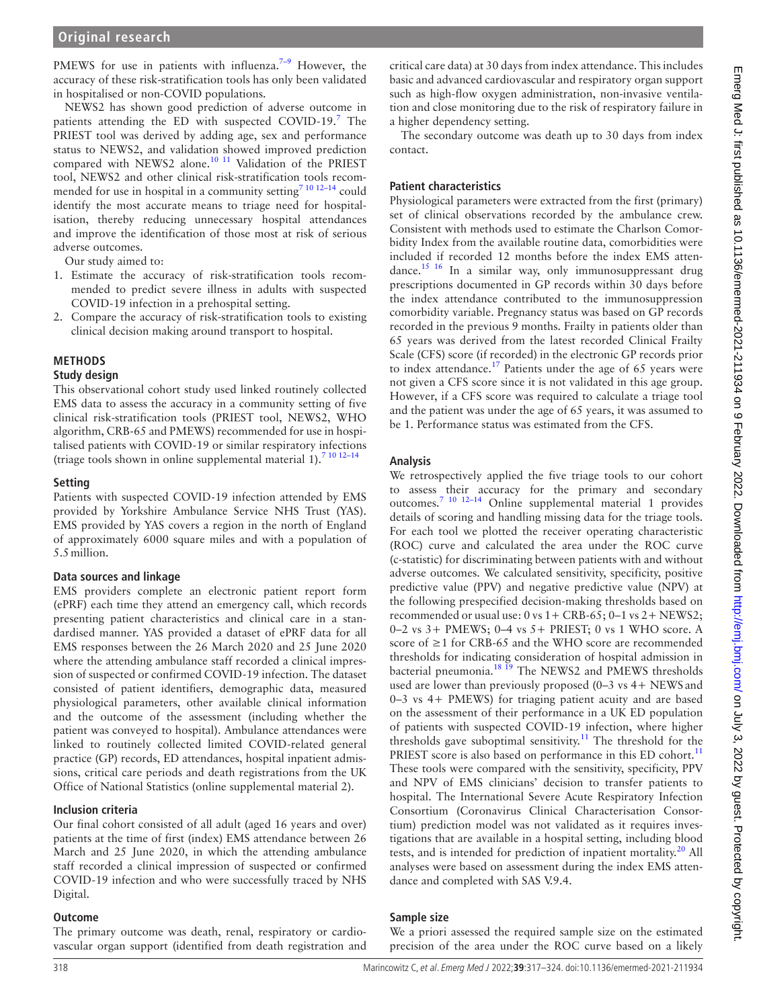PMEWS for use in patients with influenza.<sup>7-9</sup> However, the accuracy of these risk-stratification tools has only been validated in hospitalised or non-COVID populations.

NEWS2 has shown good prediction of adverse outcome in patients attending the ED with suspected COVID-19.<sup>[7](#page-6-3)</sup> The PRIEST tool was derived by adding age, sex and performance status to NEWS2, and validation showed improved prediction compared with NEWS2 alone.<sup>10 11</sup> Validation of the PRIEST tool, NEWS2 and other clinical risk-stratification tools recommended for use in hospital in a community setting<sup>7 10 12-14</sup> could identify the most accurate means to triage need for hospitalisation, thereby reducing unnecessary hospital attendances and improve the identification of those most at risk of serious adverse outcomes.

Our study aimed to:

- 1. Estimate the accuracy of risk-stratification tools recommended to predict severe illness in adults with suspected COVID-19 infection in a prehospital setting.
- 2. Compare the accuracy of risk-stratification tools to existing clinical decision making around transport to hospital.

# **METHODS**

#### **Study design**

This observational cohort study used linked routinely collected EMS data to assess the accuracy in a community setting of five clinical risk-stratification tools (PRIEST tool, NEWS2, WHO algorithm, CRB-65 and PMEWS) recommended for use in hospitalised patients with COVID-19 or similar respiratory infections (triage tools shown in online supplemental material  $1$ ).<sup>7</sup><sup>10</sup><sup>12-1</sup>

#### **Setting**

Patients with suspected COVID-19 infection attended by EMS provided by Yorkshire Ambulance Service NHS Trust (YAS). EMS provided by YAS covers a region in the north of England of approximately 6000 square miles and with a population of 5.5million.

#### **Data sources and linkage**

EMS providers complete an electronic patient report form (ePRF) each time they attend an emergency call, which records presenting patient characteristics and clinical care in a standardised manner. YAS provided a dataset of ePRF data for all EMS responses between the 26 March 2020 and 25 June 2020 where the attending ambulance staff recorded a clinical impression of suspected or confirmed COVID-19 infection. The dataset consisted of patient identifiers, demographic data, measured physiological parameters, other available clinical information and the outcome of the assessment (including whether the patient was conveyed to hospital). Ambulance attendances were linked to routinely collected limited COVID-related general practice (GP) records, ED attendances, hospital inpatient admissions, critical care periods and death registrations from the UK Office of National Statistics [\(online supplemental material 2](https://dx.doi.org/10.1136/emermed-2021-211934)).

#### **Inclusion criteria**

Our final cohort consisted of all adult (aged 16 years and over) patients at the time of first (index) EMS attendance between 26 March and 25 June 2020, in which the attending ambulance staff recorded a clinical impression of suspected or confirmed COVID-19 infection and who were successfully traced by NHS Digital.

#### **Outcome**

The primary outcome was death, renal, respiratory or cardiovascular organ support (identified from death registration and

critical care data) at 30 days from index attendance. This includes basic and advanced cardiovascular and respiratory organ support such as high-flow oxygen administration, non-invasive ventilation and close monitoring due to the risk of respiratory failure in a higher dependency setting.

The secondary outcome was death up to 30 days from index contact.

# **Patient characteristics**

Physiological parameters were extracted from the first (primary) set of clinical observations recorded by the ambulance crew. Consistent with methods used to estimate the Charlson Comorbidity Index from the available routine data, comorbidities were included if recorded 12 months before the index EMS attendance.[15 16](#page-7-0) In a similar way, only immunosuppressant drug prescriptions documented in GP records within 30 days before the index attendance contributed to the immunosuppression comorbidity variable. Pregnancy status was based on GP records recorded in the previous 9 months. Frailty in patients older than 65 years was derived from the latest recorded Clinical Frailty Scale (CFS) score (if recorded) in the electronic GP records prior to index attendance.<sup>17</sup> Patients under the age of 65 years were not given a CFS score since it is not validated in this age group. However, if a CFS score was required to calculate a triage tool and the patient was under the age of 65 years, it was assumed to be 1. Performance status was estimated from the CFS.

#### **Analysis**

We retrospectively applied the five triage tools to our cohort to assess their accuracy for the primary and secondary outcomes.[7 10 12–14](#page-6-3) [Online supplemental material 1](https://dx.doi.org/10.1136/emermed-2021-211934) provides details of scoring and handling missing data for the triage tools. For each tool we plotted the receiver operating characteristic (ROC) curve and calculated the area under the ROC curve (c-statistic) for discriminating between patients with and without adverse outcomes. We calculated sensitivity, specificity, positive predictive value (PPV) and negative predictive value (NPV) at the following prespecified decision-making thresholds based on recommended or usual use:  $0 \text{ vs } 1 + \text{CRB-65}$ ;  $0-1 \text{ vs } 2 + \text{NEWS2}$ ; 0–2 vs 3+ PMEWS; 0–4 vs 5+ PRIEST; 0 vs 1 WHO score. A score of ≥1 for CRB-65 and the WHO score are recommended thresholds for indicating consideration of hospital admission in bacterial pneumonia.<sup>18 19</sup> The NEWS2 and PMEWS thresholds used are lower than previously proposed (0–3 vs 4+ NEWS and 0–3 vs 4+ PMEWS) for triaging patient acuity and are based on the assessment of their performance in a UK ED population of patients with suspected COVID-19 infection, where higher thresholds gave suboptimal sensitivity.<sup>[11](#page-6-5)</sup> The threshold for the PRIEST score is also based on performance in this ED cohort.<sup>[11](#page-6-5)</sup> These tools were compared with the sensitivity, specificity, PPV and NPV of EMS clinicians' decision to transfer patients to hospital. The International Severe Acute Respiratory Infection Consortium (Coronavirus Clinical Characterisation Consortium) prediction model was not validated as it requires investigations that are available in a hospital setting, including blood tests, and is intended for prediction of inpatient mortality. $20$  All analyses were based on assessment during the index EMS attendance and completed with SAS V.9.4.

#### **Sample size**

We a priori assessed the required sample size on the estimated precision of the area under the ROC curve based on a likely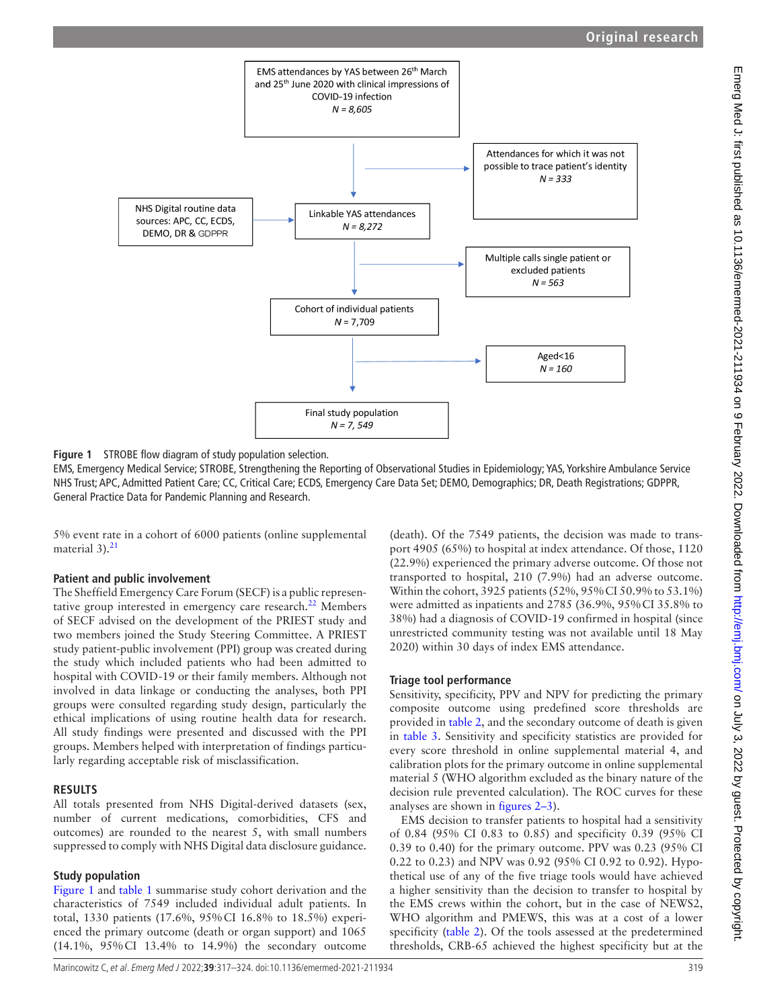

<span id="page-2-0"></span>

EMS, Emergency Medical Service; STROBE, Strengthening the Reporting of Observational Studies in Epidemiology; YAS, Yorkshire Ambulance Service NHS Trust; APC, Admitted Patient Care; CC, Critical Care; ECDS, Emergency Care Data Set; DEMO, Demographics; DR, Death Registrations; GDPPR, General Practice Data for Pandemic Planning and Research.

5% event rate in a cohort of 6000 patients ([online supplemental](https://dx.doi.org/10.1136/emermed-2021-211934)  material  $3$ ).<sup>21</sup>

#### **Patient and public involvement**

The Sheffield Emergency Care Forum (SECF) is a public represen-tative group interested in emergency care research.<sup>[22](#page-7-5)</sup> Members of SECF advised on the development of the PRIEST study and two members joined the Study Steering Committee. A PRIEST study patient-public involvement (PPI) group was created during the study which included patients who had been admitted to hospital with COVID-19 or their family members. Although not involved in data linkage or conducting the analyses, both PPI groups were consulted regarding study design, particularly the ethical implications of using routine health data for research. All study findings were presented and discussed with the PPI groups. Members helped with interpretation of findings particularly regarding acceptable risk of misclassification.

# **RESULTS**

All totals presented from NHS Digital-derived datasets (sex, number of current medications, comorbidities, CFS and outcomes) are rounded to the nearest 5, with small numbers suppressed to comply with NHS Digital data disclosure guidance.

# **Study population**

[Figure](#page-2-0) 1 and [table](#page-3-0) 1 summarise study cohort derivation and the characteristics of 7549 included individual adult patients. In total, 1330 patients (17.6%, 95%CI 16.8% to 18.5%) experienced the primary outcome (death or organ support) and 1065 (14.1%, 95%CI 13.4% to 14.9%) the secondary outcome

(death). Of the 7549 patients, the decision was made to transport 4905 (65%) to hospital at index attendance. Of those, 1120 (22.9%) experienced the primary adverse outcome. Of those not transported to hospital, 210 (7.9%) had an adverse outcome. Within the cohort, 3925 patients (52%, 95%CI 50.9% to 53.1%) were admitted as inpatients and 2785 (36.9%, 95%CI 35.8% to 38%) had a diagnosis of COVID-19 confirmed in hospital (since unrestricted community testing was not available until 18 May 2020) within 30 days of index EMS attendance.

# **Triage tool performance**

Sensitivity, specificity, PPV and NPV for predicting the primary composite outcome using predefined score thresholds are provided in [table](#page-4-0) 2, and the secondary outcome of death is given in [table](#page-5-0) 3. Sensitivity and specificity statistics are provided for every score threshold in [online supplemental material 4](https://dx.doi.org/10.1136/emermed-2021-211934), and calibration plots for the primary outcome in [online supplemental](https://dx.doi.org/10.1136/emermed-2021-211934) [material 5](https://dx.doi.org/10.1136/emermed-2021-211934) (WHO algorithm excluded as the binary nature of the decision rule prevented calculation). The ROC curves for these analyses are shown in [figures](#page-5-1) 2–3).

EMS decision to transfer patients to hospital had a sensitivity of 0.84 (95% CI 0.83 to 0.85) and specificity 0.39 (95% CI 0.39 to 0.40) for the primary outcome. PPV was 0.23 (95% CI 0.22 to 0.23) and NPV was 0.92 (95% CI 0.92 to 0.92). Hypothetical use of any of the five triage tools would have achieved a higher sensitivity than the decision to transfer to hospital by the EMS crews within the cohort, but in the case of NEWS2, WHO algorithm and PMEWS, this was at a cost of a lower specificity [\(table](#page-4-0) 2). Of the tools assessed at the predetermined thresholds, CRB-65 achieved the highest specificity but at the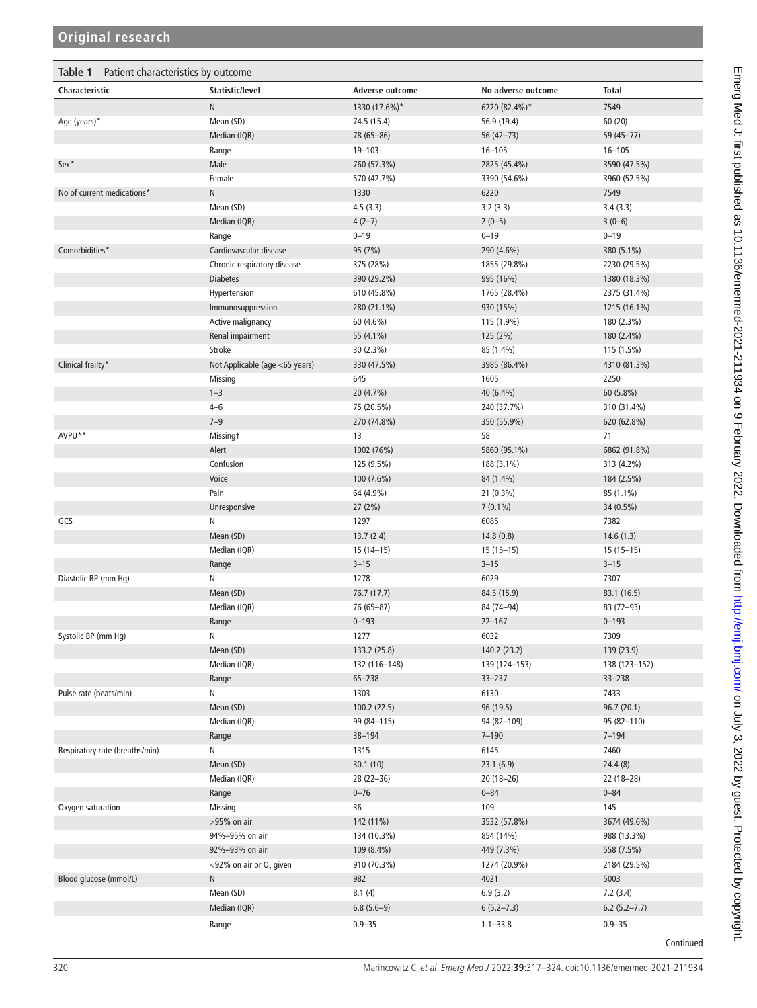<span id="page-3-0"></span>

| Table 1<br>Patient characteristics by outcome |                                     |                 |                    |                  |  |  |  |
|-----------------------------------------------|-------------------------------------|-----------------|--------------------|------------------|--|--|--|
| Characteristic                                | Statistic/level                     | Adverse outcome | No adverse outcome | <b>Total</b>     |  |  |  |
|                                               | N                                   | 1330 (17.6%)*   | 6220 (82.4%)*      | 7549             |  |  |  |
| Age (years)*                                  | Mean (SD)                           | 74.5 (15.4)     | 56.9 (19.4)        | 60(20)           |  |  |  |
|                                               | Median (IQR)                        | 78 (65-86)      | 56 (42-73)         | 59 (45-77)       |  |  |  |
|                                               | Range                               | $19 - 103$      | $16 - 105$         | $16 - 105$       |  |  |  |
| Sex*                                          | Male                                | 760 (57.3%)     | 2825 (45.4%)       | 3590 (47.5%)     |  |  |  |
|                                               | Female                              | 570 (42.7%)     | 3390 (54.6%)       | 3960 (52.5%)     |  |  |  |
| No of current medications*                    | N                                   | 1330            | 6220               | 7549             |  |  |  |
|                                               | Mean (SD)                           | 4.5(3.3)        | 3.2(3.3)           | 3.4(3.3)         |  |  |  |
|                                               | Median (IQR)                        | $4(2-7)$        | $2(0-5)$           | $3(0-6)$         |  |  |  |
|                                               | Range                               | $0 - 19$        | $0 - 19$           | $0 - 19$         |  |  |  |
| Comorbidities*                                | Cardiovascular disease              | 95 (7%)         | 290 (4.6%)         | 380 (5.1%)       |  |  |  |
|                                               | Chronic respiratory disease         | 375 (28%)       | 1855 (29.8%)       | 2230 (29.5%)     |  |  |  |
|                                               | <b>Diabetes</b>                     | 390 (29.2%)     | 995 (16%)          | 1380 (18.3%)     |  |  |  |
|                                               | Hypertension                        | 610 (45.8%)     | 1765 (28.4%)       | 2375 (31.4%)     |  |  |  |
|                                               | Immunosuppression                   | 280 (21.1%)     | 930 (15%)          | 1215 (16.1%)     |  |  |  |
|                                               | Active malignancy                   | 60 (4.6%)       | 115 (1.9%)         | 180 (2.3%)       |  |  |  |
|                                               | Renal impairment                    | 55 (4.1%)       | 125 (2%)           | 180 (2.4%)       |  |  |  |
|                                               | Stroke                              | 30 (2.3%)       | 85 (1.4%)          | 115 (1.5%)       |  |  |  |
| Clinical frailty*                             | Not Applicable (age <65 years)      | 330 (47.5%)     | 3985 (86.4%)       | 4310 (81.3%)     |  |  |  |
|                                               | Missing                             | 645             | 1605               | 2250             |  |  |  |
|                                               | $1 - 3$                             | 20 (4.7%)       | 40 (6.4%)          | 60 (5.8%)        |  |  |  |
|                                               | $4 - 6$                             | 75 (20.5%)      | 240 (37.7%)        | 310 (31.4%)      |  |  |  |
|                                               | $7 - 9$                             | 270 (74.8%)     | 350 (55.9%)        | 620 (62.8%)      |  |  |  |
| AVPU**                                        | <b>Missingt</b>                     | 13              | 58                 | 71               |  |  |  |
|                                               | Alert                               | 1002 (76%)      | 5860 (95.1%)       | 6862 (91.8%)     |  |  |  |
|                                               | Confusion                           | 125 (9.5%)      | 188 (3.1%)         | 313 (4.2%)       |  |  |  |
|                                               | Voice                               | 100 (7.6%)      | 84 (1.4%)          | 184 (2.5%)       |  |  |  |
|                                               | Pain                                | 64 (4.9%)       | 21 (0.3%)          | 85 (1.1%)        |  |  |  |
|                                               | Unresponsive                        | 27(2%)          | $7(0.1\%)$         | 34 (0.5%)        |  |  |  |
| GCS                                           | N                                   | 1297            | 6085               | 7382             |  |  |  |
|                                               | Mean (SD)                           | 13.7(2.4)       | 14.8(0.8)          | 14.6(1.3)        |  |  |  |
|                                               | Median (IQR)                        | $15(14-15)$     | $15(15-15)$        | $15(15-15)$      |  |  |  |
|                                               | Range                               | $3 - 15$        | $3 - 15$           | $3 - 15$         |  |  |  |
| Diastolic BP (mm Hq)                          | N                                   | 1278            | 6029               | 7307             |  |  |  |
|                                               | Mean (SD)                           | 76.7 (17.7)     | 84.5 (15.9)        | 83.1 (16.5)      |  |  |  |
|                                               | Median (IQR)                        | 76 (65-87)      | 84 (74-94)         | 83 (72-93)       |  |  |  |
|                                               | Range                               | $0 - 193$       | $22 - 167$         | $0 - 193$        |  |  |  |
| Systolic BP (mm Hg)                           | Ν                                   | 1277            | 6032               | 7309             |  |  |  |
|                                               | Mean (SD)                           | 133.2 (25.8)    | 140.2 (23.2)       | 139 (23.9)       |  |  |  |
|                                               | Median (IQR)                        | 132 (116-148)   | 139 (124-153)      | 138 (123-152)    |  |  |  |
|                                               | Range                               | $65 - 238$      | $33 - 237$         | $33 - 238$       |  |  |  |
| Pulse rate (beats/min)                        | N                                   | 1303            | 6130               | 7433             |  |  |  |
|                                               | Mean (SD)                           | 100.2 (22.5)    | 96 (19.5)          | 96.7(20.1)       |  |  |  |
|                                               | Median (IQR)                        | 99 (84-115)     | 94 (82-109)        | 95 (82-110)      |  |  |  |
|                                               | Range                               | 38-194          | $7 - 190$          | $7 - 194$        |  |  |  |
| Respiratory rate (breaths/min)                | N                                   | 1315            | 6145               | 7460             |  |  |  |
|                                               | Mean (SD)                           | 30.1 (10)       | 23.1(6.9)          | 24.4(8)          |  |  |  |
|                                               | Median (IQR)                        | 28 (22-36)      | $20(18-26)$        | $22(18-28)$      |  |  |  |
|                                               | Range                               | $0 - 76$        | $0 - 84$           | $0 - 84$         |  |  |  |
| Oxygen saturation                             | Missing                             | 36              | 109                | 145              |  |  |  |
|                                               | >95% on air                         | 142 (11%)       | 3532 (57.8%)       | 3674 (49.6%)     |  |  |  |
|                                               | 94%-95% on air                      | 134 (10.3%)     | 854 (14%)          | 988 (13.3%)      |  |  |  |
|                                               | 92%-93% on air                      | 109 (8.4%)      | 449 (7.3%)         | 558 (7.5%)       |  |  |  |
|                                               | <92% on air or O <sub>2</sub> given | 910 (70.3%)     | 1274 (20.9%)       | 2184 (29.5%)     |  |  |  |
| Blood glucose (mmol/L)                        | N                                   | 982             | 4021               | 5003             |  |  |  |
|                                               | Mean (SD)                           | 8.1(4)          | 6.9(3.2)           | 7.2(3.4)         |  |  |  |
|                                               | Median (IQR)                        | $6.8(5.6-9)$    | $6(5.2 - 7.3)$     | $6.2(5.2 - 7.7)$ |  |  |  |
|                                               | Range                               | $0.9 - 35$      | $1.1 - 33.8$       | $0.9 - 35$       |  |  |  |
|                                               |                                     |                 |                    | Continued        |  |  |  |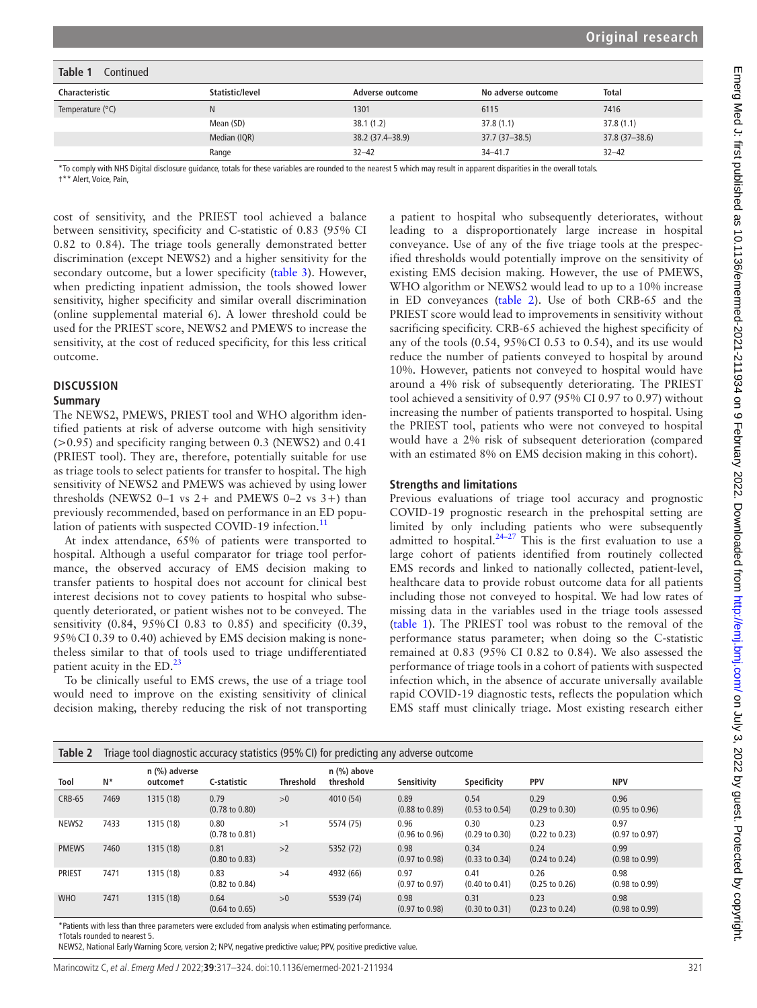| Table 1<br>Continued      |                 |                  |                    |                |  |  |  |
|---------------------------|-----------------|------------------|--------------------|----------------|--|--|--|
| <b>Characteristic</b>     | Statistic/level | Adverse outcome  | No adverse outcome | <b>Total</b>   |  |  |  |
| Temperature $(^{\circ}C)$ | N               | 1301             | 6115               | 7416           |  |  |  |
|                           | Mean (SD)       | 38.1(1.2)        | 37.8(1.1)          | 37.8(1.1)      |  |  |  |
|                           | Median (IQR)    | 38.2 (37.4-38.9) | $37.7(37 - 38.5)$  | 37.8 (37-38.6) |  |  |  |
|                           | Range           | $32 - 42$        | $34 - 41.7$        | $32 - 42$      |  |  |  |

\*To comply with NHS Digital disclosure guidance, totals for these variables are rounded to the nearest 5 which may result in apparent disparities in the overall totals.

†\*\* Alert, Voice, Pain,

cost of sensitivity, and the PRIEST tool achieved a balance between sensitivity, specificity and C-statistic of 0.83 (95% CI 0.82 to 0.84). The triage tools generally demonstrated better discrimination (except NEWS2) and a higher sensitivity for the secondary outcome, but a lower specificity ([table](#page-5-0) 3). However, when predicting inpatient admission, the tools showed lower sensitivity, higher specificity and similar overall discrimination ([online supplemental material 6\)](https://dx.doi.org/10.1136/emermed-2021-211934). A lower threshold could be used for the PRIEST score, NEWS2 and PMEWS to increase the sensitivity, at the cost of reduced specificity, for this less critical outcome.

#### **DISCUSSION**

#### **Summary**

The NEWS2, PMEWS, PRIEST tool and WHO algorithm identified patients at risk of adverse outcome with high sensitivity (>0.95) and specificity ranging between 0.3 (NEWS2) and 0.41 (PRIEST tool). They are, therefore, potentially suitable for use as triage tools to select patients for transfer to hospital. The high sensitivity of NEWS2 and PMEWS was achieved by using lower thresholds (NEWS2 0-1 vs 2+ and PMEWS 0-2 vs 3+) than previously recommended, based on performance in an ED popu-lation of patients with suspected COVID-19 infection.<sup>[11](#page-6-5)</sup>

At index attendance, 65% of patients were transported to hospital. Although a useful comparator for triage tool performance, the observed accuracy of EMS decision making to transfer patients to hospital does not account for clinical best interest decisions not to covey patients to hospital who subsequently deteriorated, or patient wishes not to be conveyed. The sensitivity (0.84, 95%CI 0.83 to 0.85) and specificity (0.39, 95%CI 0.39 to 0.40) achieved by EMS decision making is nonetheless similar to that of tools used to triage undifferentiated patient acuity in the ED.<sup>23</sup>

To be clinically useful to EMS crews, the use of a triage tool would need to improve on the existing sensitivity of clinical decision making, thereby reducing the risk of not transporting

a patient to hospital who subsequently deteriorates, without leading to a disproportionately large increase in hospital conveyance. Use of any of the five triage tools at the prespecified thresholds would potentially improve on the sensitivity of existing EMS decision making. However, the use of PMEWS, WHO algorithm or NEWS2 would lead to up to a 10% increase in ED conveyances [\(table](#page-4-0) 2). Use of both CRB-65 and the PRIEST score would lead to improvements in sensitivity without sacrificing specificity. CRB-65 achieved the highest specificity of any of the tools (0.54, 95%CI 0.53 to 0.54), and its use would reduce the number of patients conveyed to hospital by around 10%. However, patients not conveyed to hospital would have around a 4% risk of subsequently deteriorating. The PRIEST tool achieved a sensitivity of 0.97 (95% CI 0.97 to 0.97) without increasing the number of patients transported to hospital. Using the PRIEST tool, patients who were not conveyed to hospital would have a 2% risk of subsequent deterioration (compared with an estimated 8% on EMS decision making in this cohort).

# **Strengths and limitations**

Previous evaluations of triage tool accuracy and prognostic COVID-19 prognostic research in the prehospital setting are limited by only including patients who were subsequently admitted to hospital. $24-27$  This is the first evaluation to use a large cohort of patients identified from routinely collected EMS records and linked to nationally collected, patient-level, healthcare data to provide robust outcome data for all patients including those not conveyed to hospital. We had low rates of missing data in the variables used in the triage tools assessed ([table](#page-3-0) 1). The PRIEST tool was robust to the removal of the performance status parameter; when doing so the C-statistic remained at 0.83 (95% CI 0.82 to 0.84). We also assessed the performance of triage tools in a cohort of patients with suspected infection which, in the absence of accurate universally available rapid COVID-19 diagnostic tests, reflects the population which EMS staff must clinically triage. Most existing research either

<span id="page-4-0"></span>

| Table 2       | Triage tool diagnostic accuracy statistics (95% CI) for predicting any adverse outcome |                             |                                   |                  |                            |                                   |                                   |                                   |                                   |
|---------------|----------------------------------------------------------------------------------------|-----------------------------|-----------------------------------|------------------|----------------------------|-----------------------------------|-----------------------------------|-----------------------------------|-----------------------------------|
| Tool          | N*                                                                                     | $n$ (%) adverse<br>outcomet | C-statistic                       | <b>Threshold</b> | $n$ (%) above<br>threshold | Sensitivity                       | Specificity                       | <b>PPV</b>                        | <b>NPV</b>                        |
| <b>CRB-65</b> | 7469                                                                                   | 1315 (18)                   | 0.79<br>$(0.78 \text{ to } 0.80)$ | >0               | 4010 (54)                  | 0.89<br>$(0.88 \text{ to } 0.89)$ | 0.54<br>$(0.53 \text{ to } 0.54)$ | 0.29<br>$(0.29 \text{ to } 0.30)$ | 0.96<br>$(0.95 \text{ to } 0.96)$ |
| NEWS2         | 7433                                                                                   | 1315 (18)                   | 0.80<br>$(0.78 \text{ to } 0.81)$ | >1               | 5574 (75)                  | 0.96<br>$(0.96 \text{ to } 0.96)$ | 0.30<br>$(0.29 \text{ to } 0.30)$ | 0.23<br>$(0.22 \text{ to } 0.23)$ | 0.97<br>$(0.97 \text{ to } 0.97)$ |
| <b>PMEWS</b>  | 7460                                                                                   | 1315 (18)                   | 0.81<br>$(0.80 \text{ to } 0.83)$ | >2               | 5352 (72)                  | 0.98<br>$(0.97 \text{ to } 0.98)$ | 0.34<br>$(0.33$ to $0.34)$        | 0.24<br>$(0.24 \text{ to } 0.24)$ | 0.99<br>$(0.98 \text{ to } 0.99)$ |
| <b>PRIEST</b> | 7471                                                                                   | 1315 (18)                   | 0.83<br>$(0.82 \text{ to } 0.84)$ | >4               | 4932 (66)                  | 0.97<br>$(0.97 \text{ to } 0.97)$ | 0.41<br>$(0.40 \text{ to } 0.41)$ | 0.26<br>$(0.25 \text{ to } 0.26)$ | 0.98<br>$(0.98 \text{ to } 0.99)$ |
| <b>WHO</b>    | 7471                                                                                   | 1315 (18)                   | 0.64<br>$(0.64 \text{ to } 0.65)$ | >0               | 5539 (74)                  | 0.98<br>$(0.97 \text{ to } 0.98)$ | 0.31<br>$(0.30 \text{ to } 0.31)$ | 0.23<br>$(0.23 \text{ to } 0.24)$ | 0.98<br>$(0.98 \text{ to } 0.99)$ |

\*Patients with less than three parameters were excluded from analysis when estimating performance.

†Totals rounded to nearest 5.

NEWS2, National Early Warning Score, version 2; NPV, negative predictive value; PPV, positive predictive value.

Marincowitz C, et al. Emerg Med J 2022;**39**:317–324. doi:10.1136/emermed-2021-211934 321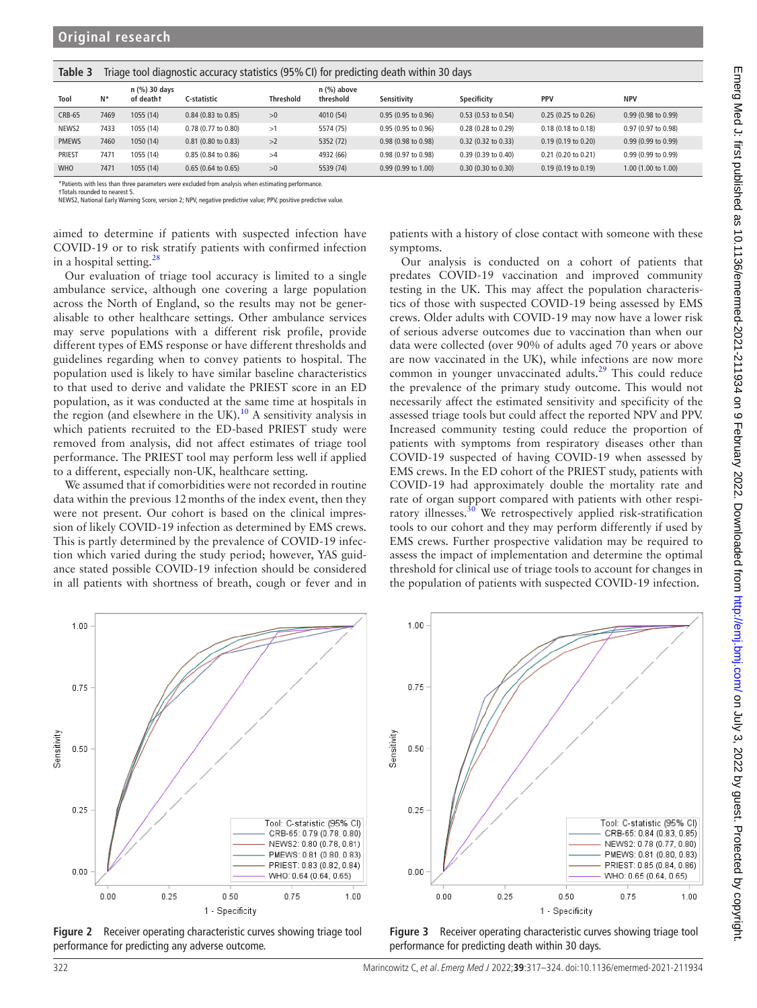| c biubi       | inage tool diagnostic accuracy statistics (5) 70 Ci) for predicting death within 30 days |                            |                        |                  |                            |                        |                          |                               |                        |  |
|---------------|------------------------------------------------------------------------------------------|----------------------------|------------------------|------------------|----------------------------|------------------------|--------------------------|-------------------------------|------------------------|--|
| Tool          | $N^*$                                                                                    | n (%) 30 days<br>of death† | C-statistic            | <b>Threshold</b> | $n$ (%) above<br>threshold | Sensitivity            | Specificity              | PPV                           | <b>NPV</b>             |  |
| <b>CRB-65</b> | 7469                                                                                     | 1055(14)                   | $0.84$ (0.83 to 0.85)  | >0               | 4010 (54)                  | $0.95(0.95)$ to $0.96$ | $0.53(0.53)$ to $0.54$ ) | $0.25(0.25)$ to $0.26$        | 0.99(0.98 to 0.99)     |  |
| NEWS2         | 7433                                                                                     | 1055 (14)                  | 0.78 (0.77 to 0.80)    | >1               | 5574 (75)                  | 0.95 (0.95 to 0.96)    | 0.28 (0.28 to 0.29)      | $0.18(0.18 \text{ to } 0.18)$ | 0.97 (0.97 to 0.98)    |  |
| <b>PMEWS</b>  | 7460                                                                                     | 1050(14)                   | $0.81$ (0.80 to 0.83)  | >2               | 5352 (72)                  | 0.98 (0.98 to 0.98)    | $0.32$ (0.32 to 0.33)    | $0.19(0.19)$ to $0.20$        | $0.99(0.99)$ to $0.99$ |  |
| <b>PRIEST</b> | 7471                                                                                     | 1055 (14)                  | $0.85(0.84)$ to $0.86$ | >4               | 4932 (66)                  | 0.98 (0.97 to 0.98)    | 0.39 (0.39 to 0.40)      | 0.21 (0.20 to 0.21)           | $0.99(0.99)$ to $0.99$ |  |
| <b>WHO</b>    | 7471                                                                                     | 1055 (14)                  | $0.65$ (0.64 to 0.65)  | >0               | 5539 (74)                  | 0.99 (0.99 to 1.00)    | 0.30(0.30 to 0.30)       | $0.19(0.19)$ to $0.19$        | $1.00$ (1.00 to 1.00)  |  |
|               |                                                                                          |                            |                        |                  |                            |                        |                          |                               |                        |  |

<span id="page-5-0"></span> $\mathbf{Table 3}$  Triage tool diagnostic accuracy statistics (95%CI) for predicting death within 30 days

\*Patients with less than three parameters were excluded from analysis when estimating performance. †Totals rounded to nearest 5.

NEWS2, National Early Warning Score, version 2; NPV, negative predictive value; PPV, positive predictive value.

aimed to determine if patients with suspected infection have COVID-19 or to risk stratify patients with confirmed infection in a hospital setting.[28](#page-7-8)

Our evaluation of triage tool accuracy is limited to a single ambulance service, although one covering a large population across the North of England, so the results may not be generalisable to other healthcare settings. Other ambulance services may serve populations with a different risk profile, provide different types of EMS response or have different thresholds and guidelines regarding when to convey patients to hospital. The population used is likely to have similar baseline characteristics to that used to derive and validate the PRIEST score in an ED population, as it was conducted at the same time at hospitals in the region (and elsewhere in the UK).<sup>10</sup> A sensitivity analysis in which patients recruited to the ED-based PRIEST study were removed from analysis, did not affect estimates of triage tool performance. The PRIEST tool may perform less well if applied to a different, especially non-UK, healthcare setting.

We assumed that if comorbidities were not recorded in routine data within the previous 12months of the index event, then they were not present. Our cohort is based on the clinical impression of likely COVID-19 infection as determined by EMS crews. This is partly determined by the prevalence of COVID-19 infection which varied during the study period; however, YAS guidance stated possible COVID-19 infection should be considered in all patients with shortness of breath, cough or fever and in

patients with a history of close contact with someone with these symptoms.

Our analysis is conducted on a cohort of patients that predates COVID-19 vaccination and improved community testing in the UK. This may affect the population characteristics of those with suspected COVID-19 being assessed by EMS crews. Older adults with COVID-19 may now have a lower risk of serious adverse outcomes due to vaccination than when our data were collected (over 90% of adults aged 70 years or above are now vaccinated in the UK), while infections are now more common in younger unvaccinated adults.<sup>29</sup> This could reduce the prevalence of the primary study outcome. This would not necessarily affect the estimated sensitivity and specificity of the assessed triage tools but could affect the reported NPV and PPV. Increased community testing could reduce the proportion of patients with symptoms from respiratory diseases other than COVID-19 suspected of having COVID-19 when assessed by EMS crews. In the ED cohort of the PRIEST study, patients with COVID-19 had approximately double the mortality rate and rate of organ support compared with patients with other respi-ratory illnesses.<sup>[30](#page-7-10)</sup> We retrospectively applied risk-stratification tools to our cohort and they may perform differently if used by EMS crews. Further prospective validation may be required to assess the impact of implementation and determine the optimal threshold for clinical use of triage tools to account for changes in the population of patients with suspected COVID-19 infection.



<span id="page-5-1"></span>**Figure 2** Receiver operating characteristic curves showing triage tool performance for predicting any adverse outcome.



**Figure 3** Receiver operating characteristic curves showing triage tool performance for predicting death within 30 days.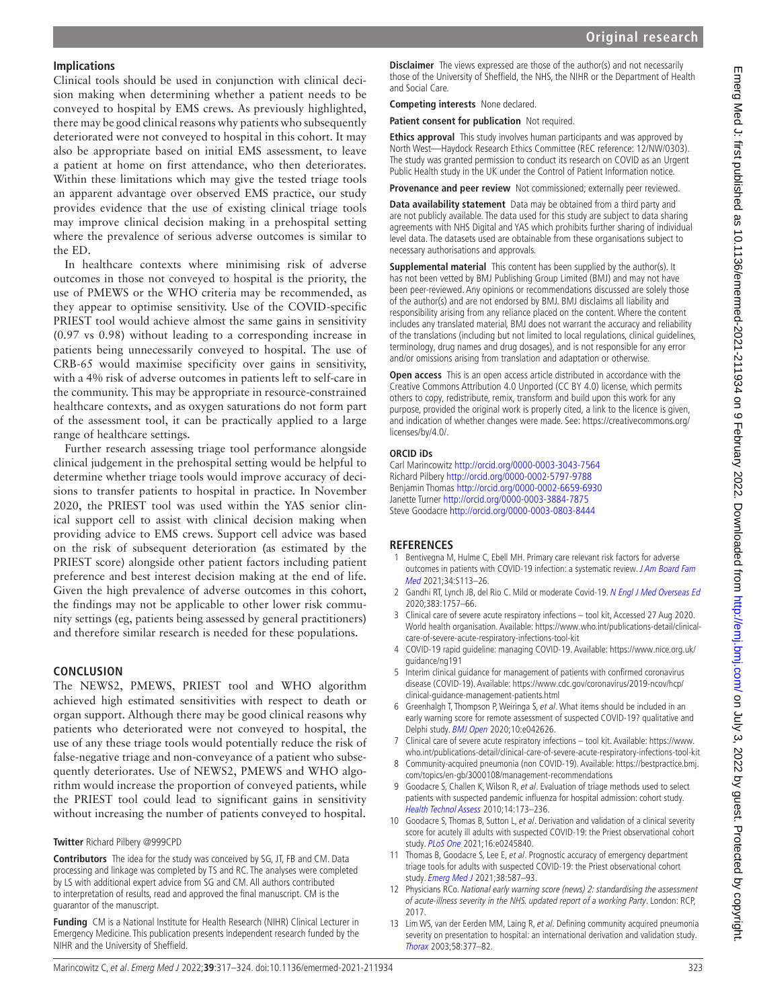# **Implications**

Clinical tools should be used in conjunction with clinical decision making when determining whether a patient needs to be conveyed to hospital by EMS crews. As previously highlighted, there may be good clinical reasons why patients who subsequently deteriorated were not conveyed to hospital in this cohort. It may also be appropriate based on initial EMS assessment, to leave a patient at home on first attendance, who then deteriorates. Within these limitations which may give the tested triage tools an apparent advantage over observed EMS practice, our study provides evidence that the use of existing clinical triage tools may improve clinical decision making in a prehospital setting where the prevalence of serious adverse outcomes is similar to the ED.

In healthcare contexts where minimising risk of adverse outcomes in those not conveyed to hospital is the priority, the use of PMEWS or the WHO criteria may be recommended, as they appear to optimise sensitivity. Use of the COVID-specific PRIEST tool would achieve almost the same gains in sensitivity (0.97 vs 0.98) without leading to a corresponding increase in patients being unnecessarily conveyed to hospital. The use of CRB-65 would maximise specificity over gains in sensitivity, with a 4% risk of adverse outcomes in patients left to self-care in the community. This may be appropriate in resource-constrained healthcare contexts, and as oxygen saturations do not form part of the assessment tool, it can be practically applied to a large range of healthcare settings.

Further research assessing triage tool performance alongside clinical judgement in the prehospital setting would be helpful to determine whether triage tools would improve accuracy of decisions to transfer patients to hospital in practice. In November 2020, the PRIEST tool was used within the YAS senior clinical support cell to assist with clinical decision making when providing advice to EMS crews. Support cell advice was based on the risk of subsequent deterioration (as estimated by the PRIEST score) alongside other patient factors including patient preference and best interest decision making at the end of life. Given the high prevalence of adverse outcomes in this cohort, the findings may not be applicable to other lower risk community settings (eg, patients being assessed by general practitioners) and therefore similar research is needed for these populations.

# **CONCLUSION**

The NEWS2, PMEWS, PRIEST tool and WHO algorithm achieved high estimated sensitivities with respect to death or organ support. Although there may be good clinical reasons why patients who deteriorated were not conveyed to hospital, the use of any these triage tools would potentially reduce the risk of false-negative triage and non-conveyance of a patient who subsequently deteriorates. Use of NEWS2, PMEWS and WHO algorithm would increase the proportion of conveyed patients, while the PRIEST tool could lead to significant gains in sensitivity without increasing the number of patients conveyed to hospital.

#### **Twitter** Richard Pilbery [@999CPD](https://twitter.com/999CPD)

**Contributors** The idea for the study was conceived by SG, JT, FB and CM. Data processing and linkage was completed by TS and RC. The analyses were completed by LS with additional expert advice from SG and CM. All authors contributed to interpretation of results, read and approved the final manuscript. CM is the guarantor of the manuscript.

**Funding** CM is a National Institute for Health Research (NIHR) Clinical Lecturer in Emergency Medicine. This publication presents independent research funded by the NIHR and the University of Sheffield.

**Disclaimer** The views expressed are those of the author(s) and not necessarily those of the University of Sheffield, the NHS, the NIHR or the Department of Health and Social Care.

**Competing interests** None declared.

**Patient consent for publication** Not required.

**Ethics approval** This study involves human participants and was approved by North West—Haydock Research Ethics Committee (REC reference: 12/NW/0303). The study was granted permission to conduct its research on COVID as an Urgent Public Health study in the UK under the Control of Patient Information notice.

**Provenance and peer review** Not commissioned: externally peer reviewed.

**Data availability statement** Data may be obtained from a third party and are not publicly available. The data used for this study are subject to data sharing agreements with NHS Digital and YAS which prohibits further sharing of individual level data. The datasets used are obtainable from these organisations subject to necessary authorisations and approvals.

**Supplemental material** This content has been supplied by the author(s). It has not been vetted by BMJ Publishing Group Limited (BMJ) and may not have been peer-reviewed. Any opinions or recommendations discussed are solely those of the author(s) and are not endorsed by BMJ. BMJ disclaims all liability and responsibility arising from any reliance placed on the content. Where the content includes any translated material, BMJ does not warrant the accuracy and reliability of the translations (including but not limited to local regulations, clinical guidelines, terminology, drug names and drug dosages), and is not responsible for any error and/or omissions arising from translation and adaptation or otherwise.

**Open access** This is an open access article distributed in accordance with the Creative Commons Attribution 4.0 Unported (CC BY 4.0) license, which permits others to copy, redistribute, remix, transform and build upon this work for any purpose, provided the original work is properly cited, a link to the licence is given, and indication of whether changes were made. See: [https://creativecommons.org/](https://creativecommons.org/licenses/by/4.0/) [licenses/by/4.0/.](https://creativecommons.org/licenses/by/4.0/)

#### **ORCID iDs**

Carl Marincowitz <http://orcid.org/0000-0003-3043-7564> Richard Pilbery <http://orcid.org/0000-0002-5797-9788> Benjamin Thomas <http://orcid.org/0000-0002-6659-6930> Janette Turner <http://orcid.org/0000-0003-3884-7875> Steve Goodacre<http://orcid.org/0000-0003-0803-8444>

# **REFERENCES**

- <span id="page-6-0"></span>1 Bentivegna M, Hulme C, Ebell MH. Primary care relevant risk factors for adverse outcomes in patients with COVID-19 infection: a systematic review. J Am Board Fam [Med](http://dx.doi.org/10.3122/jabfm.2021.S1.200429) 2021;34:S113–26.
- <span id="page-6-1"></span>2 Gandhi RT, Lynch JB, del Rio C. Mild or moderate Covid-19. [N Engl J Med Overseas Ed](http://dx.doi.org/10.1056/NEJMcp2009249) 2020;383:1757–66.
- 3 Clinical care of severe acute respiratory infections tool kit, Accessed 27 Aug 2020. World health organisation. Available: [https://www.who.int/publications-detail/clinical](https://www.who.int/publications-detail/clinical-care-of-severe-acute-respiratory-infections-tool-kit)[care-of-severe-acute-respiratory-infections-tool-kit](https://www.who.int/publications-detail/clinical-care-of-severe-acute-respiratory-infections-tool-kit)
- 4 COVID-19 rapid guideline: managing COVID-19. Available: [https://www.nice.org.uk/](https://www.nice.org.uk/guidance/ng191) [guidance/ng191](https://www.nice.org.uk/guidance/ng191)
- 5 Interim clinical guidance for management of patients with confirmed coronavirus disease (COVID-19). Available: [https://www.cdc.gov/coronavirus/2019-ncov/hcp/](https://www.cdc.gov/coronavirus/2019-ncov/hcp/clinical-guidance-management-patients.html) [clinical-guidance-management-patients.html](https://www.cdc.gov/coronavirus/2019-ncov/hcp/clinical-guidance-management-patients.html)
- <span id="page-6-2"></span>6 Greenhalgh T, Thompson P, Weiringa S, et al. What items should be included in an early warning score for remote assessment of suspected COVID-19? qualitative and Delphi study. [BMJ Open](http://dx.doi.org/10.1136/bmjopen-2020-042626) 2020;10:e042626.
- <span id="page-6-3"></span>7 Clinical care of severe acute respiratory infections – tool kit. Available: [https://www.](https://www.who.int/publications-detail/clinical-care-of-severe-acute-respiratory-infections-tool-kit) [who.int/publications-detail/clinical-care-of-severe-acute-respiratory-infections-tool-kit](https://www.who.int/publications-detail/clinical-care-of-severe-acute-respiratory-infections-tool-kit)
- 8 Community-acquired pneumonia (non COVID-19). Available: [https://bestpractice.bmj.](https://bestpractice.bmj.com/topics/en-gb/3000108/management-recommendations) [com/topics/en-gb/3000108/management-recommendations](https://bestpractice.bmj.com/topics/en-gb/3000108/management-recommendations)
- 9 Goodacre S, Challen K, Wilson R, et al. Evaluation of triage methods used to select patients with suspected pandemic influenza for hospital admission: cohort study. [Health Technol Assess](http://dx.doi.org/10.3310/hta14460-03) 2010;14:173–236.
- <span id="page-6-4"></span>10 Goodacre S, Thomas B, Sutton L, et al. Derivation and validation of a clinical severity score for acutely ill adults with suspected COVID-19: the Priest observational cohort study. [PLoS One](http://dx.doi.org/10.1371/journal.pone.0245840) 2021;16:e0245840.
- <span id="page-6-5"></span>11 Thomas B, Goodacre S, Lee E, et al. Prognostic accuracy of emergency department triage tools for adults with suspected COVID-19: the Priest observational cohort study. [Emerg Med J](http://dx.doi.org/10.1136/emermed-2020-210783) 2021;38:587–93.
- 12 Physicians RCo. National early warning score (news) 2: standardising the assessment of acute-illness severity in the NHS. updated report of a working Party. London: RCP, 2017.
- 13 Lim WS, van der Eerden MM, Laing R, et al. Defining community acquired pneumonia severity on presentation to hospital: an international derivation and validation study. [Thorax](http://dx.doi.org/10.1136/thorax.58.5.377) 2003;58:377–82.